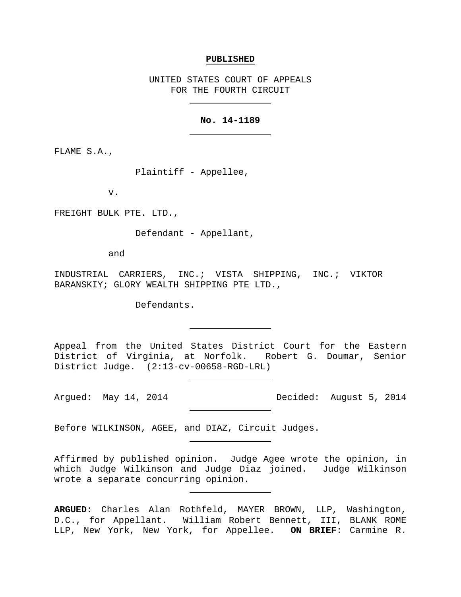#### **PUBLISHED**

UNITED STATES COURT OF APPEALS FOR THE FOURTH CIRCUIT

## **No. 14-1189**

FLAME S.A.,

Plaintiff - Appellee,

v.

FREIGHT BULK PTE. LTD.,

Defendant - Appellant,

and

INDUSTRIAL CARRIERS, INC.; VISTA SHIPPING, INC.; VIKTOR BARANSKIY; GLORY WEALTH SHIPPING PTE LTD.,

Defendants.

Appeal from the United States District Court for the Eastern District of Virginia, at Norfolk. Robert G. Doumar, Senior District Judge. (2:13-cv-00658-RGD-LRL)

Argued: May 14, 2014 **Decided:** August 5, 2014

Before WILKINSON, AGEE, and DIAZ, Circuit Judges.

Affirmed by published opinion. Judge Agee wrote the opinion, in which Judge Wilkinson and Judge Diaz joined. Judge Wilkinson wrote a separate concurring opinion.

**ARGUED**: Charles Alan Rothfeld, MAYER BROWN, LLP, Washington, D.C., for Appellant. William Robert Bennett, III, BLANK ROME LLP, New York, New York, for Appellee. **ON BRIEF**: Carmine R.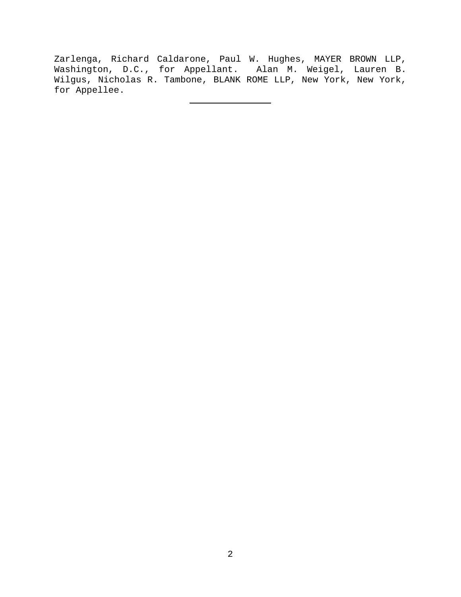Zarlenga, Richard Caldarone, Paul W. Hughes, MAYER BROWN LLP, Washington, D.C., for Appellant. Alan M. Weigel, Lauren B. Wilgus, Nicholas R. Tambone, BLANK ROME LLP, New York, New York, for Appellee.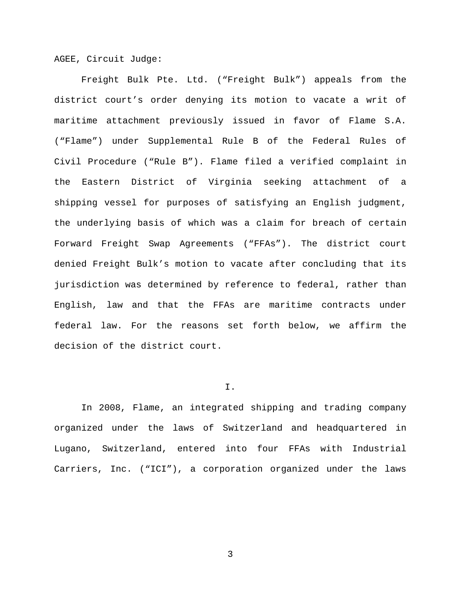AGEE, Circuit Judge:

Freight Bulk Pte. Ltd. ("Freight Bulk") appeals from the district court's order denying its motion to vacate a writ of maritime attachment previously issued in favor of Flame S.A. ("Flame") under Supplemental Rule B of the Federal Rules of Civil Procedure ("Rule B"). Flame filed a verified complaint in the Eastern District of Virginia seeking attachment of a shipping vessel for purposes of satisfying an English judgment, the underlying basis of which was a claim for breach of certain Forward Freight Swap Agreements ("FFAs"). The district court denied Freight Bulk's motion to vacate after concluding that its jurisdiction was determined by reference to federal, rather than English, law and that the FFAs are maritime contracts under federal law. For the reasons set forth below, we affirm the decision of the district court.

# I.

In 2008, Flame, an integrated shipping and trading company organized under the laws of Switzerland and headquartered in Lugano, Switzerland, entered into four FFAs with Industrial Carriers, Inc. ("ICI"), a corporation organized under the laws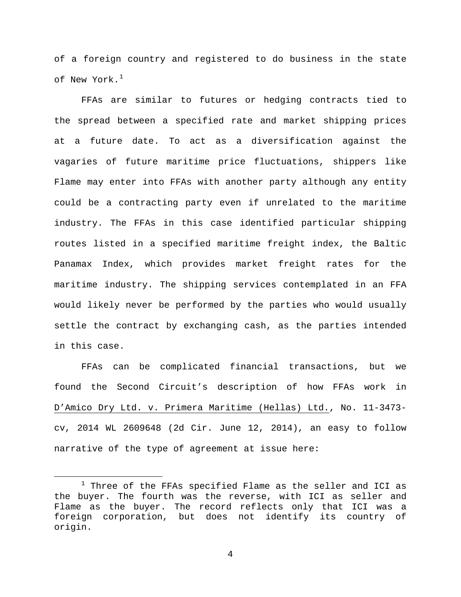of a foreign country and registered to do business in the state of New York.<sup>[1](#page-3-0)</sup>

FFAs are similar to futures or hedging contracts tied to the spread between a specified rate and market shipping prices at a future date. To act as a diversification against the vagaries of future maritime price fluctuations, shippers like Flame may enter into FFAs with another party although any entity could be a contracting party even if unrelated to the maritime industry. The FFAs in this case identified particular shipping routes listed in a specified maritime freight index, the Baltic Panamax Index, which provides market freight rates for the maritime industry. The shipping services contemplated in an FFA would likely never be performed by the parties who would usually settle the contract by exchanging cash, as the parties intended in this case.

FFAs can be complicated financial transactions, but we found the Second Circuit's description of how FFAs work in D'Amico Dry Ltd. v. Primera Maritime (Hellas) Ltd., No. 11-3473 cv, 2014 WL 2609648 (2d Cir. June 12, 2014), an easy to follow narrative of the type of agreement at issue here:

<span id="page-3-0"></span> $1$  Three of the FFAs specified Flame as the seller and ICI as the buyer. The fourth was the reverse, with ICI as seller and Flame as the buyer. The record reflects only that ICI was a foreign corporation, but does not identify its country of origin.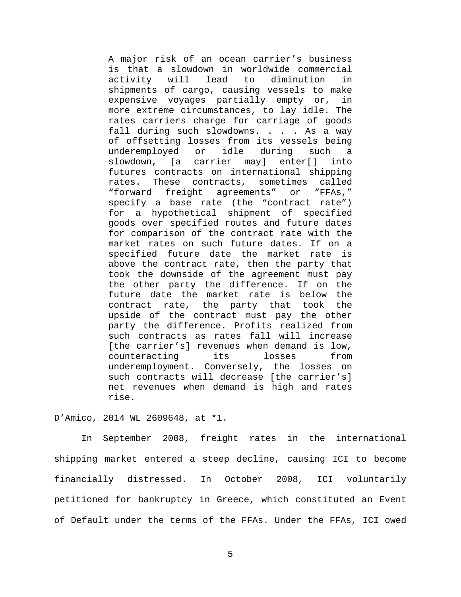A major risk of an ocean carrier's business is that a slowdown in worldwide commercial<br>activity will lead to diminution in diminution shipments of cargo, causing vessels to make expensive voyages partially empty or, in more extreme circumstances, to lay idle. The rates carriers charge for carriage of goods fall during such slowdowns. . . . As a way of offsetting losses from its vessels being<br>underemployed or idle during such a underemployed or idle during such a<br>slowdown, [a carrier may] enter[] into slowdown, [a carrier may] futures contracts on international shipping<br>rates. These contracts, sometimes called rates. These contracts, "forward freight agreements" or "FFAs," specify a base rate (the "contract rate") for a hypothetical shipment of specified goods over specified routes and future dates for comparison of the contract rate with the market rates on such future dates. If on a specified future date the market rate is above the contract rate, then the party that took the downside of the agreement must pay the other party the difference. If on the future date the market rate is below the contract rate, the party that took the upside of the contract must pay the other party the difference. Profits realized from such contracts as rates fall will increase [the carrier's] revenues when demand is low,<br>counteracting its losses from counteracting underemployment. Conversely, the losses on such contracts will decrease [the carrier's] net revenues when demand is high and rates rise.

### D'Amico, 2014 WL 2609648, at \*1.

In September 2008, freight rates in the international shipping market entered a steep decline, causing ICI to become financially distressed. In October 2008, ICI voluntarily petitioned for bankruptcy in Greece, which constituted an Event of Default under the terms of the FFAs. Under the FFAs, ICI owed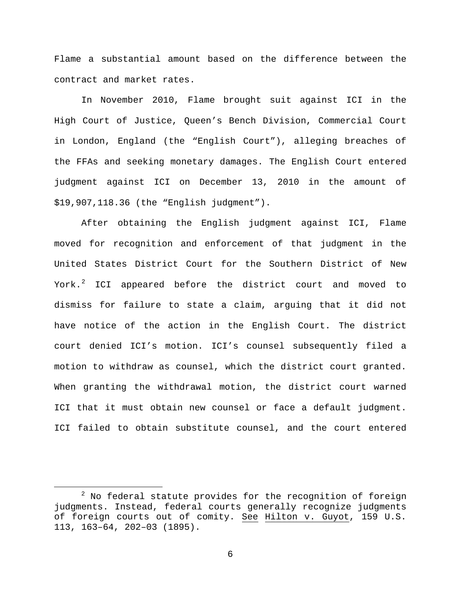Flame a substantial amount based on the difference between the contract and market rates.

In November 2010, Flame brought suit against ICI in the High Court of Justice, Queen's Bench Division, Commercial Court in London, England (the "English Court"), alleging breaches of the FFAs and seeking monetary damages. The English Court entered judgment against ICI on December 13, 2010 in the amount of \$19,907,118.36 (the "English judgment").

After obtaining the English judgment against ICI, Flame moved for recognition and enforcement of that judgment in the United States District Court for the Southern District of New York.<sup>[2](#page-5-0)</sup> ICI appeared before the district court and moved to dismiss for failure to state a claim, arguing that it did not have notice of the action in the English Court. The district court denied ICI's motion. ICI's counsel subsequently filed a motion to withdraw as counsel, which the district court granted. When granting the withdrawal motion, the district court warned ICI that it must obtain new counsel or face a default judgment. ICI failed to obtain substitute counsel, and the court entered

<span id="page-5-0"></span> $2$  No federal statute provides for the recognition of foreign judgments. Instead, federal courts generally recognize judgments of foreign courts out of comity. See Hilton v. Guyot, 159 U.S. 113, 163–64, 202–03 (1895).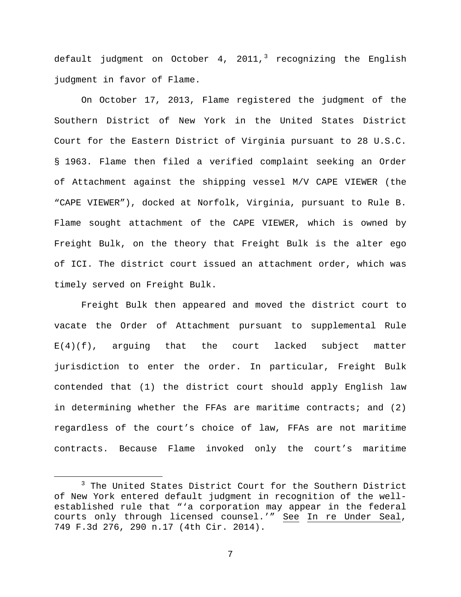default judgment on October 4, 2011,<sup>[3](#page-6-0)</sup> recognizing the English judgment in favor of Flame.

On October 17, 2013, Flame registered the judgment of the Southern District of New York in the United States District Court for the Eastern District of Virginia pursuant to 28 U.S.C. § 1963. Flame then filed a verified complaint seeking an Order of Attachment against the shipping vessel M/V CAPE VIEWER (the "CAPE VIEWER"), docked at Norfolk, Virginia, pursuant to Rule B. Flame sought attachment of the CAPE VIEWER, which is owned by Freight Bulk, on the theory that Freight Bulk is the alter ego of ICI. The district court issued an attachment order, which was timely served on Freight Bulk.

Freight Bulk then appeared and moved the district court to vacate the Order of Attachment pursuant to supplemental Rule  $E(4)(f)$ , arguing that the court lacked subject matter jurisdiction to enter the order. In particular, Freight Bulk contended that (1) the district court should apply English law in determining whether the FFAs are maritime contracts; and (2) regardless of the court's choice of law, FFAs are not maritime contracts. Because Flame invoked only the court's maritime

<span id="page-6-0"></span><sup>&</sup>lt;sup>3</sup> The United States District Court for the Southern District of New York entered default judgment in recognition of the wellestablished rule that "'a corporation may appear in the federal courts only through licensed counsel.'" See In re Under Seal, 749 F.3d 276, 290 n.17 (4th Cir. 2014).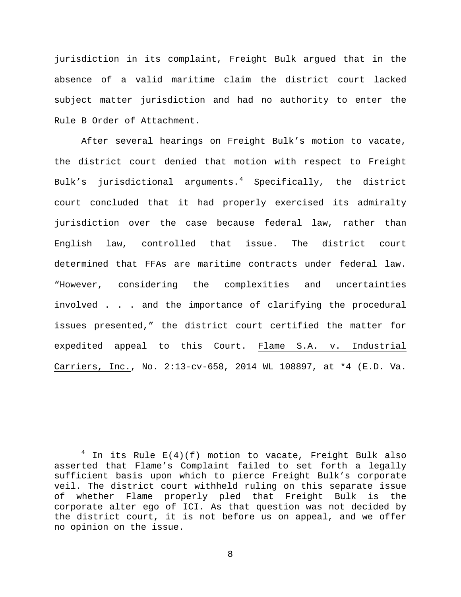jurisdiction in its complaint, Freight Bulk argued that in the absence of a valid maritime claim the district court lacked subject matter jurisdiction and had no authority to enter the Rule B Order of Attachment.

After several hearings on Freight Bulk's motion to vacate, the district court denied that motion with respect to Freight Bulk's jurisdictional arguments. $4$  Specifically, the district court concluded that it had properly exercised its admiralty jurisdiction over the case because federal law, rather than English law, controlled that issue. The district court determined that FFAs are maritime contracts under federal law. "However, considering the complexities and uncertainties involved . . . and the importance of clarifying the procedural issues presented," the district court certified the matter for expedited appeal to this Court. Flame S.A. v. Industrial Carriers, Inc., No. 2:13-cv-658, 2014 WL 108897, at \*4 (E.D. Va.

<span id="page-7-0"></span> $4$  In its Rule E(4)(f) motion to vacate, Freight Bulk also asserted that Flame's Complaint failed to set forth a legally sufficient basis upon which to pierce Freight Bulk's corporate veil. The district court withheld ruling on this separate issue of whether Flame properly pled that Freight Bulk is the corporate alter ego of ICI. As that question was not decided by the district court, it is not before us on appeal, and we offer no opinion on the issue.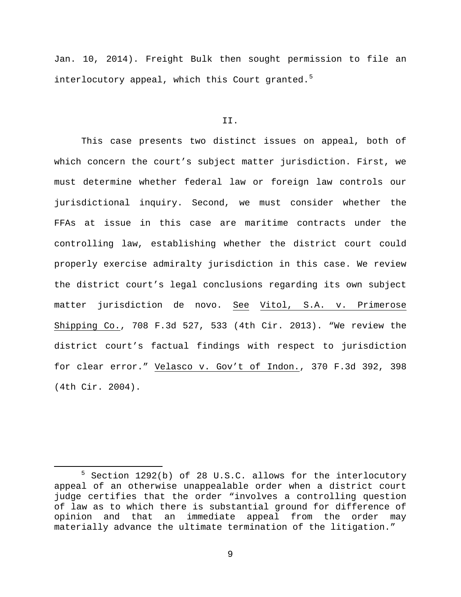Jan. 10, 2014). Freight Bulk then sought permission to file an interlocutory appeal, which this Court granted.<sup>[5](#page-8-0)</sup>

#### II.

This case presents two distinct issues on appeal, both of which concern the court's subject matter jurisdiction. First, we must determine whether federal law or foreign law controls our jurisdictional inquiry. Second, we must consider whether the FFAs at issue in this case are maritime contracts under the controlling law, establishing whether the district court could properly exercise admiralty jurisdiction in this case. We review the district court's legal conclusions regarding its own subject matter jurisdiction de novo. See Vitol, S.A. v. Primerose Shipping Co., 708 F.3d 527, 533 (4th Cir. 2013). "We review the district court's factual findings with respect to jurisdiction for clear error." Velasco v. Gov't of Indon., 370 F.3d 392, 398 (4th Cir. 2004).

<span id="page-8-0"></span> <sup>5</sup> Section 1292(b) of 28 U.S.C. allows for the interlocutory appeal of an otherwise unappealable order when a district court judge certifies that the order "involves a controlling question of law as to which there is substantial ground for difference of opinion and that an immediate appeal from the order may materially advance the ultimate termination of the litigation."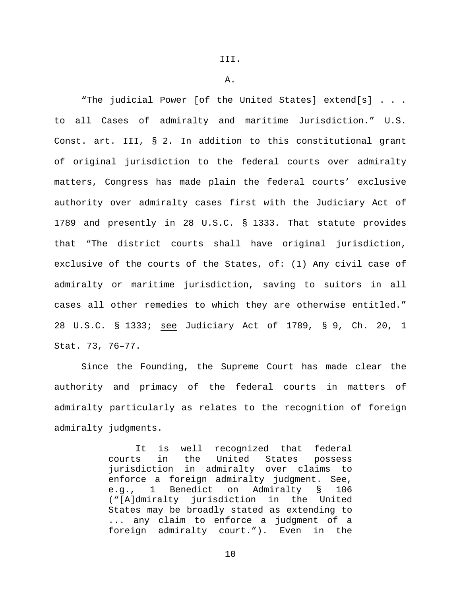A.

"The judicial Power [of the United States] extend[s] . . . to all Cases of admiralty and maritime Jurisdiction." U.S. Const. art. III, § 2. In addition to this constitutional grant of original jurisdiction to the federal courts over admiralty matters, Congress has made plain the federal courts' exclusive authority over admiralty cases first with the Judiciary Act of 1789 and presently in 28 U.S.C. § 1333. That statute provides that "The district courts shall have original jurisdiction, exclusive of the courts of the States, of: (1) Any civil case of admiralty or maritime jurisdiction, saving to suitors in all cases all other remedies to which they are otherwise entitled." 28 U.S.C. § 1333; see Judiciary Act of 1789, § 9, Ch. 20, 1 Stat. 73, 76–77.

Since the Founding, the Supreme Court has made clear the authority and primacy of the federal courts in matters of admiralty particularly as relates to the recognition of foreign admiralty judgments.

> It is well recognized that federal courts in the United States possess jurisdiction in admiralty over claims to enforce a foreign admiralty judgment. See,<br>e.g., 1 Benedict on Admiralty § 106 e.g., 1 Benedict on Admiralty § 106 ("[A]dmiralty jurisdiction in the United States may be broadly stated as extending to ... any claim to enforce a judgment of a foreign admiralty court."). Even in the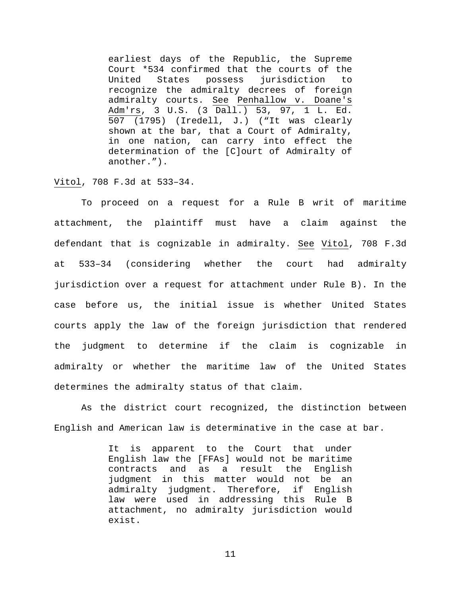earliest days of the Republic, the Supreme Court \*534 confirmed that the courts of the<br>United States possess jurisdiction to possess jurisdiction to recognize the admiralty decrees of foreign admiralty courts. See Penhallow v. Doane's Adm'rs, 3 U.S. (3 Dall.) 53, 97, 1 L. Ed. 507 (1795) (Iredell, J.) ("It was clearly shown at the bar, that a Court of Admiralty, in one nation, can carry into effect the determination of the [C]ourt of Admiralty of another.").

Vitol, 708 F.3d at 533–34.

To proceed on a request for a Rule B writ of maritime attachment, the plaintiff must have a claim against the defendant that is cognizable in admiralty. See Vitol, 708 F.3d at 533–34 (considering whether the court had admiralty jurisdiction over a request for attachment under Rule B). In the case before us, the initial issue is whether United States courts apply the law of the foreign jurisdiction that rendered the judgment to determine if the claim is cognizable in admiralty or whether the maritime law of the United States determines the admiralty status of that claim.

As the district court recognized, the distinction between English and American law is determinative in the case at bar.

> It is apparent to the Court that under English law the [FFAs] would not be maritime contracts and as a result judgment in this matter would not be an admiralty judgment. Therefore, if English law were used in addressing this Rule B attachment, no admiralty jurisdiction would exist.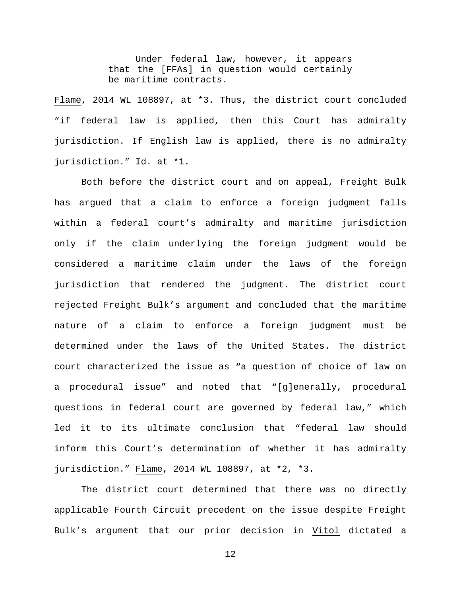Under federal law, however, it appears that the [FFAs] in question would certainly be maritime contracts.

Flame, 2014 WL 108897, at \*3. Thus, the district court concluded "if federal law is applied, then this Court has admiralty jurisdiction. If English law is applied, there is no admiralty jurisdiction." Id. at \*1.

Both before the district court and on appeal, Freight Bulk has argued that a claim to enforce a foreign judgment falls within a federal court's admiralty and maritime jurisdiction only if the claim underlying the foreign judgment would be considered a maritime claim under the laws of the foreign jurisdiction that rendered the judgment. The district court rejected Freight Bulk's argument and concluded that the maritime nature of a claim to enforce a foreign judgment must be determined under the laws of the United States. The district court characterized the issue as "a question of choice of law on a procedural issue" and noted that "[g]enerally, procedural questions in federal court are governed by federal law," which led it to its ultimate conclusion that "federal law should inform this Court's determination of whether it has admiralty jurisdiction." Flame, 2014 WL 108897, at \*2, \*3.

The district court determined that there was no directly applicable Fourth Circuit precedent on the issue despite Freight Bulk's argument that our prior decision in Vitol dictated a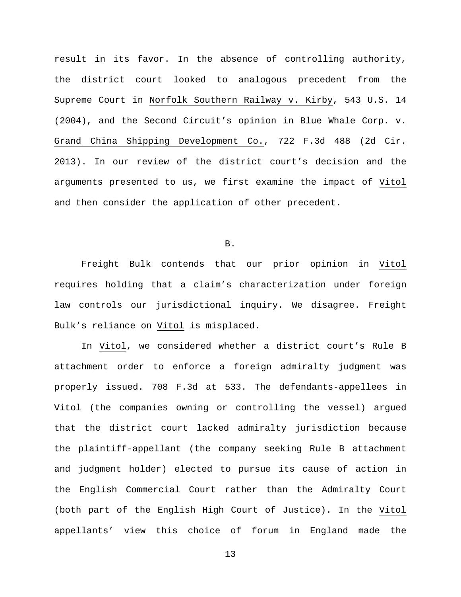result in its favor. In the absence of controlling authority, the district court looked to analogous precedent from the Supreme Court in Norfolk Southern Railway v. Kirby, 543 U.S. 14 (2004), and the Second Circuit's opinion in Blue Whale Corp. v. Grand China Shipping Development Co., 722 F.3d 488 (2d Cir. 2013). In our review of the district court's decision and the arguments presented to us, we first examine the impact of Vitol and then consider the application of other precedent.

B.

Freight Bulk contends that our prior opinion in Vitol requires holding that a claim's characterization under foreign law controls our jurisdictional inquiry. We disagree. Freight Bulk's reliance on Vitol is misplaced.

In Vitol, we considered whether a district court's Rule B attachment order to enforce a foreign admiralty judgment was properly issued. 708 F.3d at 533. The defendants-appellees in Vitol (the companies owning or controlling the vessel) argued that the district court lacked admiralty jurisdiction because the plaintiff-appellant (the company seeking Rule B attachment and judgment holder) elected to pursue its cause of action in the English Commercial Court rather than the Admiralty Court (both part of the English High Court of Justice). In the Vitol appellants' view this choice of forum in England made the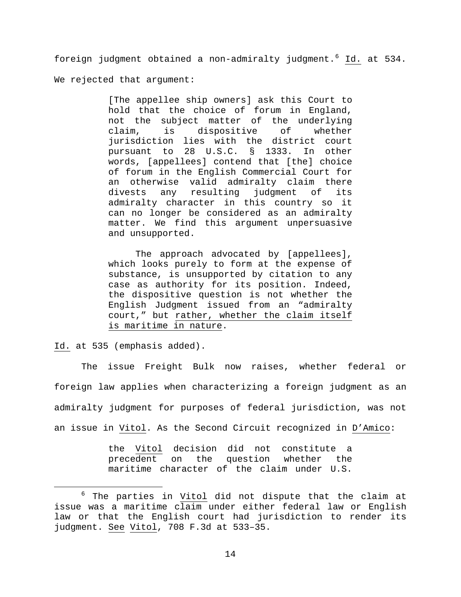foreign judgment obtained a non-admiralty judgment.<sup>[6](#page-13-0)</sup> Id. at 534. We rejected that argument:

> [The appellee ship owners] ask this Court to hold that the choice of forum in England, not the subject matter of the underlying claim, is dispositive of whether jurisdiction lies with the district court pursuant to 28 U.S.C. § 1333. In other words, [appellees] contend that [the] choice of forum in the English Commercial Court for an otherwise valid admiralty claim there<br>divests any resulting judgment of its any resulting judgment of its admiralty character in this country so it can no longer be considered as an admiralty matter. We find this argument unpersuasive and unsupported.

> The approach advocated by [appellees], which looks purely to form at the expense of substance, is unsupported by citation to any case as authority for its position. Indeed, the dispositive question is not whether the English Judgment issued from an "admiralty court," but rather, whether the claim itself is maritime in nature.

Id. at 535 (emphasis added).

The issue Freight Bulk now raises, whether federal or foreign law applies when characterizing a foreign judgment as an admiralty judgment for purposes of federal jurisdiction, was not an issue in Vitol. As the Second Circuit recognized in D'Amico:

> the Vitol decision did not constitute a precedent on the question whether the maritime character of the claim under U.S.

<span id="page-13-0"></span> $6$  The parties in Vitol did not dispute that the claim at issue was a maritime claim under either federal law or English law or that the English court had jurisdiction to render its judgment. See Vitol, 708 F.3d at 533–35.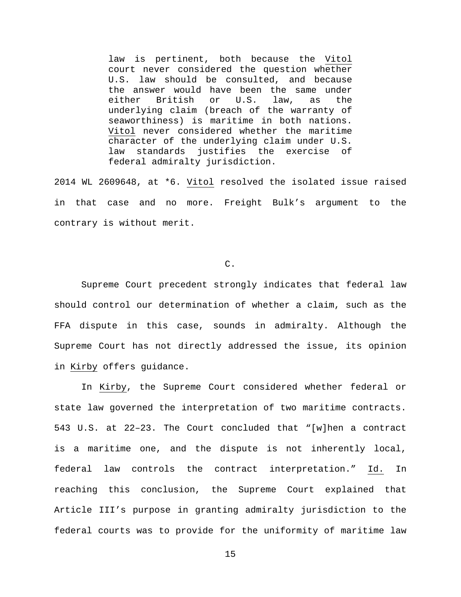law is pertinent, both because the Vitol court never considered the question whether U.S. law should be consulted, and because the answer would have been the same under<br>either British or U.S. law, as the British or U.S. law, as the underlying claim (breach of the warranty of seaworthiness) is maritime in both nations. Vitol never considered whether the maritime character of the underlying claim under U.S. law standards justifies the exercise of federal admiralty jurisdiction.

2014 WL 2609648, at \*6. Vitol resolved the isolated issue raised in that case and no more. Freight Bulk's argument to the contrary is without merit.

C.

Supreme Court precedent strongly indicates that federal law should control our determination of whether a claim, such as the FFA dispute in this case, sounds in admiralty. Although the Supreme Court has not directly addressed the issue, its opinion in Kirby offers guidance.

In Kirby, the Supreme Court considered whether federal or state law governed the interpretation of two maritime contracts. 543 U.S. at 22–23. The Court concluded that "[w]hen a contract is a maritime one, and the dispute is not inherently local, federal law controls the contract interpretation." Id. In reaching this conclusion, the Supreme Court explained that Article III's purpose in granting admiralty jurisdiction to the federal courts was to provide for the uniformity of maritime law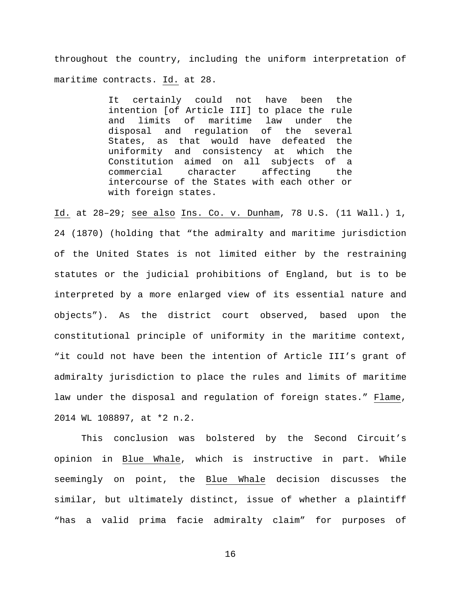throughout the country, including the uniform interpretation of maritime contracts. Id. at 28.

> It certainly could not have been the intention [of Article III] to place the rule and limits of maritime law under the disposal and regulation of the several States, as that would have defeated the uniformity and consistency at which the Constitution aimed on all subjects of a commercial character affecting the intercourse of the States with each other or with foreign states.

Id. at 28–29; see also Ins. Co. v. Dunham, 78 U.S. (11 Wall.) 1, 24 (1870) (holding that "the admiralty and maritime jurisdiction of the United States is not limited either by the restraining statutes or the judicial prohibitions of England, but is to be interpreted by a more enlarged view of its essential nature and objects"). As the district court observed, based upon the constitutional principle of uniformity in the maritime context, "it could not have been the intention of Article III's grant of admiralty jurisdiction to place the rules and limits of maritime law under the disposal and regulation of foreign states." Flame, 2014 WL 108897, at \*2 n.2.

This conclusion was bolstered by the Second Circuit's opinion in Blue Whale, which is instructive in part. While seemingly on point, the Blue Whale decision discusses the similar, but ultimately distinct, issue of whether a plaintiff "has a valid prima facie admiralty claim" for purposes of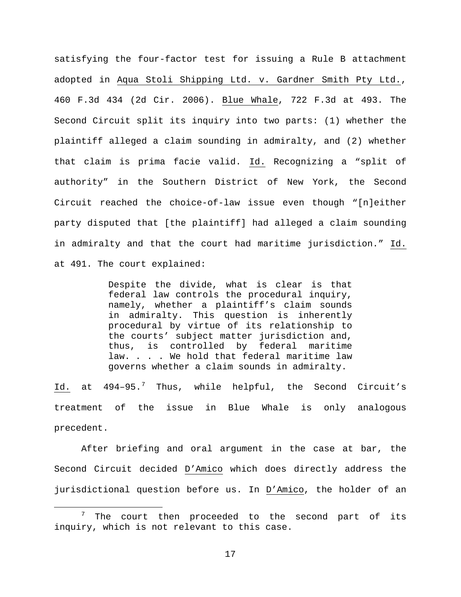satisfying the four-factor test for issuing a Rule B attachment adopted in Aqua Stoli Shipping Ltd. v. Gardner Smith Pty Ltd., 460 F.3d 434 (2d Cir. 2006). Blue Whale, 722 F.3d at 493. The Second Circuit split its inquiry into two parts: (1) whether the plaintiff alleged a claim sounding in admiralty, and (2) whether that claim is prima facie valid. Id. Recognizing a "split of authority" in the Southern District of New York, the Second Circuit reached the choice-of-law issue even though "[n]either party disputed that [the plaintiff] had alleged a claim sounding in admiralty and that the court had maritime jurisdiction." Id. at 491. The court explained:

> Despite the divide, what is clear is that federal law controls the procedural inquiry, namely, whether a plaintiff's claim sounds in admiralty. This question is inherently procedural by virtue of its relationship to the courts' subject matter jurisdiction and, thus, is controlled by federal maritime law. . . . We hold that federal maritime law governs whether a claim sounds in admiralty.

Id. at  $494-95.^7$  $494-95.^7$  Thus, while helpful, the Second Circuit's treatment of the issue in Blue Whale is only analogous precedent.

After briefing and oral argument in the case at bar, the Second Circuit decided D'Amico which does directly address the jurisdictional question before us. In D'Amico, the holder of an

<span id="page-16-0"></span> $7$  The court then proceeded to the second part of its inquiry, which is not relevant to this case.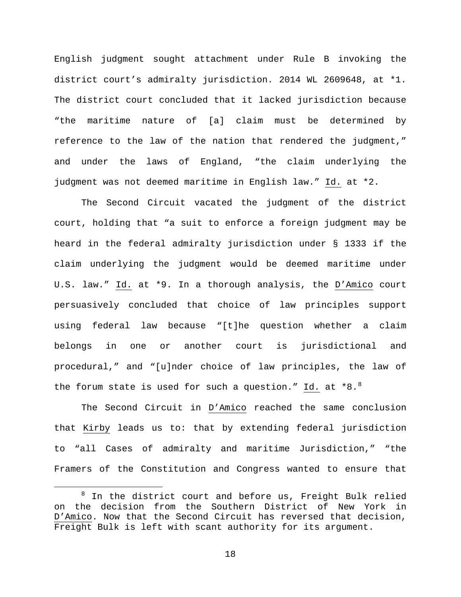English judgment sought attachment under Rule B invoking the district court's admiralty jurisdiction. 2014 WL 2609648, at \*1. The district court concluded that it lacked jurisdiction because "the maritime nature of [a] claim must be determined by reference to the law of the nation that rendered the judgment," and under the laws of England, "the claim underlying the judgment was not deemed maritime in English law." Id. at \*2.

The Second Circuit vacated the judgment of the district court, holding that "a suit to enforce a foreign judgment may be heard in the federal admiralty jurisdiction under § 1333 if the claim underlying the judgment would be deemed maritime under U.S. law." Id. at \*9. In a thorough analysis, the D'Amico court persuasively concluded that choice of law principles support using federal law because "[t]he question whether a claim belongs in one or another court is jurisdictional and procedural," and "[u]nder choice of law principles, the law of the forum state is used for such a question." Id. at  $*8.^8$  $*8.^8$  $*8.^8$ 

The Second Circuit in D'Amico reached the same conclusion that Kirby leads us to: that by extending federal jurisdiction to "all Cases of admiralty and maritime Jurisdiction," "the Framers of the Constitution and Congress wanted to ensure that

<span id="page-17-0"></span> $8$  In the district court and before us, Freight Bulk relied on the decision from the Southern District of New York in D'Amico. Now that the Second Circuit has reversed that decision, Freight Bulk is left with scant authority for its argument.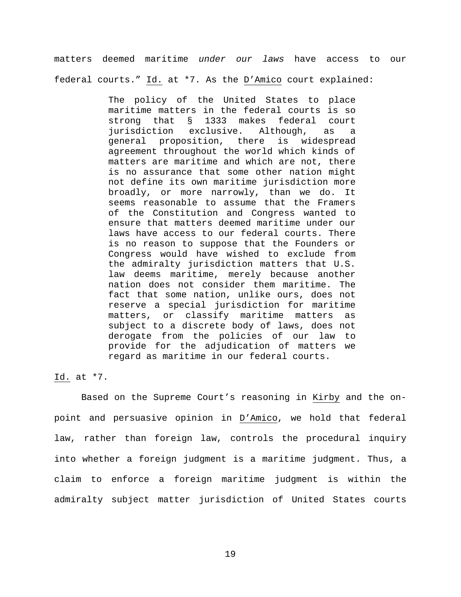matters deemed maritime *under our laws* have access to our federal courts." Id. at \*7. As the D'Amico court explained:

> The policy of the United States to place maritime matters in the federal courts is so strong that § 1333 makes federal court jurisdiction exclusive. Although, as a general proposition, there is widespread agreement throughout the world which kinds of matters are maritime and which are not, there is no assurance that some other nation might not define its own maritime jurisdiction more broadly, or more narrowly, than we do. It seems reasonable to assume that the Framers of the Constitution and Congress wanted to ensure that matters deemed maritime under our laws have access to our federal courts. There is no reason to suppose that the Founders or Congress would have wished to exclude from the admiralty jurisdiction matters that U.S. law deems maritime, merely because another nation does not consider them maritime. The fact that some nation, unlike ours, does not reserve a special jurisdiction for maritime matters, or classify maritime matters as subject to a discrete body of laws, does not derogate from the policies of our law to provide for the adjudication of matters we regard as maritime in our federal courts.

## Id. at \*7.

Based on the Supreme Court's reasoning in Kirby and the onpoint and persuasive opinion in D'Amico, we hold that federal law, rather than foreign law, controls the procedural inquiry into whether a foreign judgment is a maritime judgment. Thus, a claim to enforce a foreign maritime judgment is within the admiralty subject matter jurisdiction of United States courts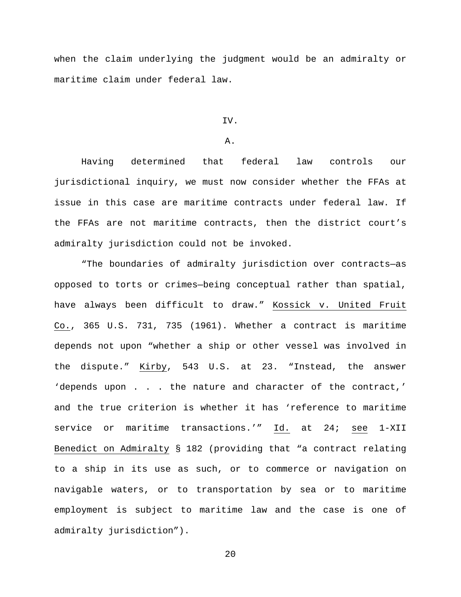when the claim underlying the judgment would be an admiralty or maritime claim under federal law.

## IV.

## A.

Having determined that federal law controls our jurisdictional inquiry, we must now consider whether the FFAs at issue in this case are maritime contracts under federal law. If the FFAs are not maritime contracts, then the district court's admiralty jurisdiction could not be invoked.

"The boundaries of admiralty jurisdiction over contracts—as opposed to torts or crimes—being conceptual rather than spatial, have always been difficult to draw." Kossick v. United Fruit Co., 365 U.S. 731, 735 (1961). Whether a contract is maritime depends not upon "whether a ship or other vessel was involved in the dispute." Kirby, 543 U.S. at 23. "Instead, the answer 'depends upon . . . the nature and character of the contract,' and the true criterion is whether it has 'reference to maritime service or maritime transactions.'" Id. at 24; see 1-XII Benedict on Admiralty § 182 (providing that "a contract relating to a ship in its use as such, or to commerce or navigation on navigable waters, or to transportation by sea or to maritime employment is subject to maritime law and the case is one of admiralty jurisdiction").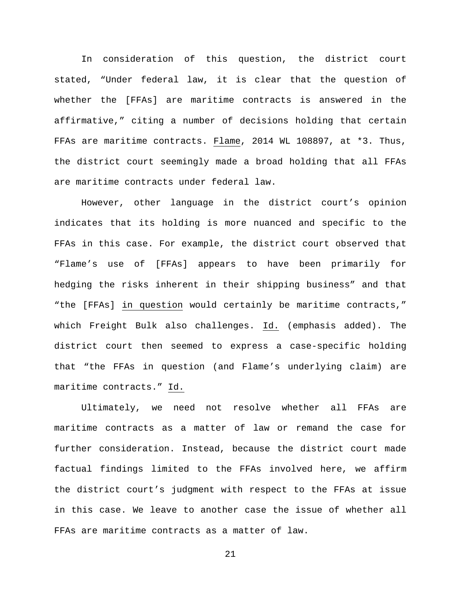In consideration of this question, the district court stated, "Under federal law, it is clear that the question of whether the [FFAs] are maritime contracts is answered in the affirmative," citing a number of decisions holding that certain FFAs are maritime contracts. Flame, 2014 WL 108897, at \*3. Thus, the district court seemingly made a broad holding that all FFAs are maritime contracts under federal law.

However, other language in the district court's opinion indicates that its holding is more nuanced and specific to the FFAs in this case. For example, the district court observed that "Flame's use of [FFAs] appears to have been primarily for hedging the risks inherent in their shipping business" and that "the [FFAs] in question would certainly be maritime contracts," which Freight Bulk also challenges. Id. (emphasis added). The district court then seemed to express a case-specific holding that "the FFAs in question (and Flame's underlying claim) are maritime contracts." Id.

Ultimately, we need not resolve whether all FFAs are maritime contracts as a matter of law or remand the case for further consideration. Instead, because the district court made factual findings limited to the FFAs involved here, we affirm the district court's judgment with respect to the FFAs at issue in this case. We leave to another case the issue of whether all FFAs are maritime contracts as a matter of law.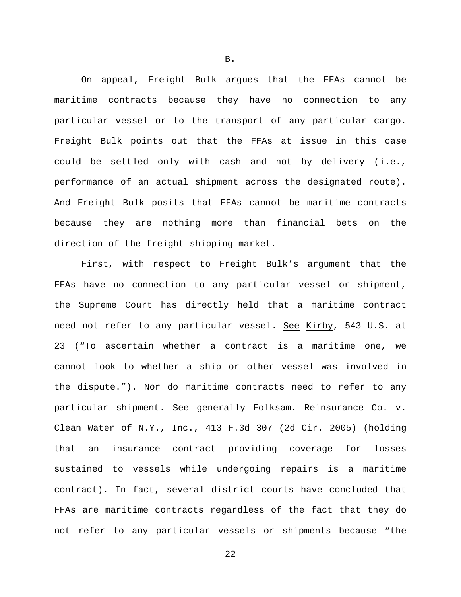On appeal, Freight Bulk argues that the FFAs cannot be maritime contracts because they have no connection to any particular vessel or to the transport of any particular cargo. Freight Bulk points out that the FFAs at issue in this case could be settled only with cash and not by delivery (i.e., performance of an actual shipment across the designated route). And Freight Bulk posits that FFAs cannot be maritime contracts because they are nothing more than financial bets on the direction of the freight shipping market.

First, with respect to Freight Bulk's argument that the FFAs have no connection to any particular vessel or shipment, the Supreme Court has directly held that a maritime contract need not refer to any particular vessel. See Kirby, 543 U.S. at 23 ("To ascertain whether a contract is a maritime one, we cannot look to whether a ship or other vessel was involved in the dispute."). Nor do maritime contracts need to refer to any particular shipment. See generally Folksam. Reinsurance Co. v. Clean Water of N.Y., Inc., 413 F.3d 307 (2d Cir. 2005) (holding that an insurance contract providing coverage for losses sustained to vessels while undergoing repairs is a maritime contract). In fact, several district courts have concluded that FFAs are maritime contracts regardless of the fact that they do not refer to any particular vessels or shipments because "the

B.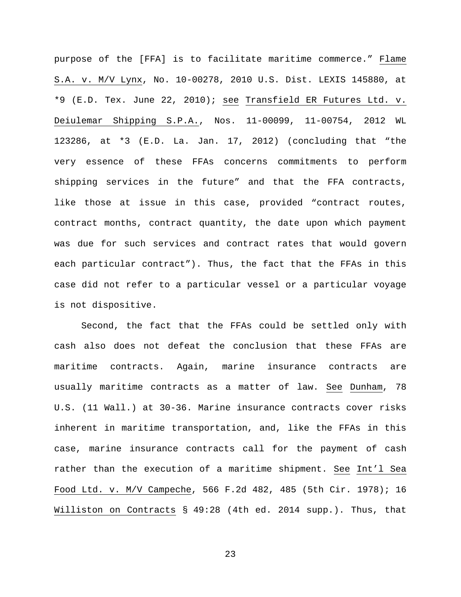purpose of the [FFA] is to facilitate maritime commerce." Flame S.A. v. M/V Lynx, No. 10-00278, 2010 U.S. Dist. LEXIS 145880, at \*9 (E.D. Tex. June 22, 2010); see Transfield ER Futures Ltd. v. Deiulemar Shipping S.P.A., Nos. 11-00099, 11-00754, 2012 WL 123286, at \*3 (E.D. La. Jan. 17, 2012) (concluding that "the very essence of these FFAs concerns commitments to perform shipping services in the future" and that the FFA contracts, like those at issue in this case, provided "contract routes, contract months, contract quantity, the date upon which payment was due for such services and contract rates that would govern each particular contract"). Thus, the fact that the FFAs in this case did not refer to a particular vessel or a particular voyage is not dispositive.

Second, the fact that the FFAs could be settled only with cash also does not defeat the conclusion that these FFAs are maritime contracts. Again, marine insurance contracts are usually maritime contracts as a matter of law. See Dunham, 78 U.S. (11 Wall.) at 30-36. Marine insurance contracts cover risks inherent in maritime transportation, and, like the FFAs in this case, marine insurance contracts call for the payment of cash rather than the execution of a maritime shipment. See Int'l Sea Food Ltd. v. M/V Campeche, 566 F.2d 482, 485 (5th Cir. 1978); 16 Williston on Contracts § 49:28 (4th ed. 2014 supp.). Thus, that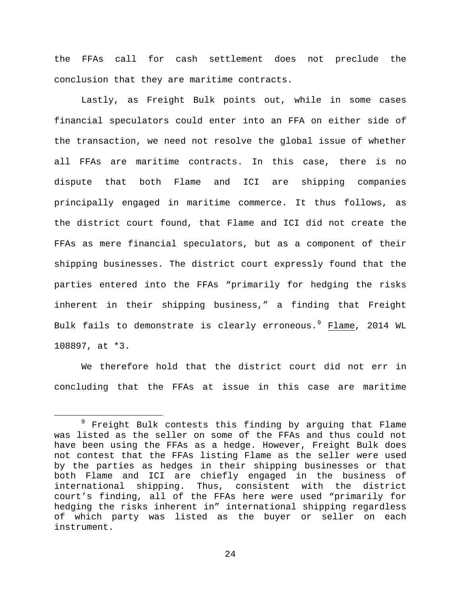the FFAs call for cash settlement does not preclude the conclusion that they are maritime contracts.

Lastly, as Freight Bulk points out, while in some cases financial speculators could enter into an FFA on either side of the transaction, we need not resolve the global issue of whether all FFAs are maritime contracts. In this case, there is no dispute that both Flame and ICI are shipping companies principally engaged in maritime commerce. It thus follows, as the district court found, that Flame and ICI did not create the FFAs as mere financial speculators, but as a component of their shipping businesses. The district court expressly found that the parties entered into the FFAs "primarily for hedging the risks inherent in their shipping business," a finding that Freight Bulk fails to demonstrate is clearly erroneous.<sup>[9](#page-23-0)</sup> Flame, 2014 WL 108897, at \*3.

We therefore hold that the district court did not err in concluding that the FFAs at issue in this case are maritime

<span id="page-23-0"></span><sup>&</sup>lt;sup>9</sup> Freight Bulk contests this finding by arguing that Flame was listed as the seller on some of the FFAs and thus could not have been using the FFAs as a hedge. However, Freight Bulk does not contest that the FFAs listing Flame as the seller were used by the parties as hedges in their shipping businesses or that both Flame and ICI are chiefly engaged in the business of international shipping. Thus, consistent with the district court's finding, all of the FFAs here were used "primarily for hedging the risks inherent in" international shipping regardless of which party was listed as the buyer or seller on each instrument.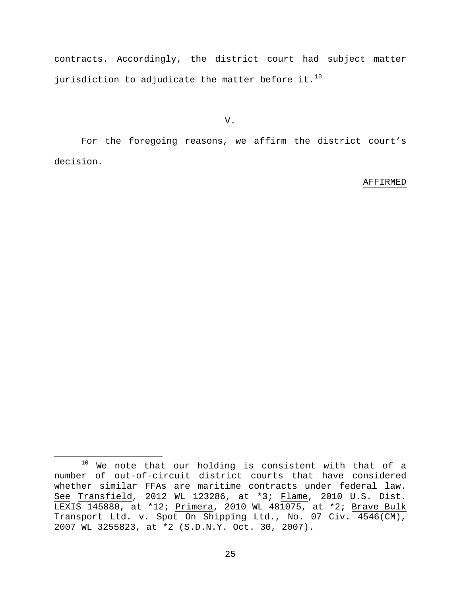contracts. Accordingly, the district court had subject matter jurisdiction to adjudicate the matter before it. $^{10}$  $^{10}$  $^{10}$ 

V.

For the foregoing reasons, we affirm the district court's decision.

## AFFIRMED

<span id="page-24-0"></span> $10$  We note that our holding is consistent with that of a number of out-of-circuit district courts that have considered whether similar FFAs are maritime contracts under federal law. See Transfield, 2012 WL 123286, at \*3; Flame, 2010 U.S. Dist. LEXIS 145880, at \*12; Primera, 2010 WL 481075, at \*2; Brave Bulk Transport Ltd. v. Spot On Shipping Ltd., No. 07 Civ. 4546(CM), 2007 WL 3255823, at \*2 (S.D.N.Y. Oct. 30, 2007).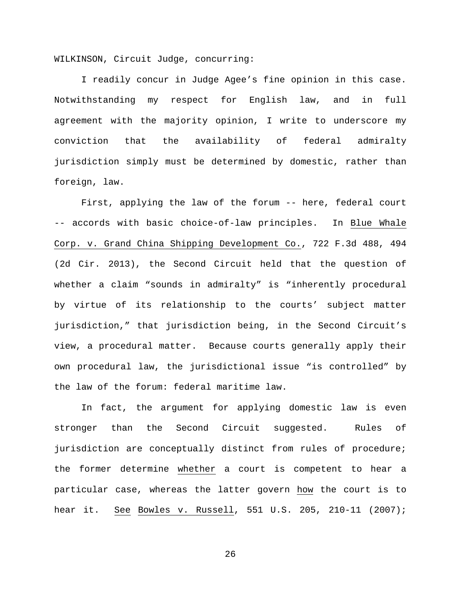WILKINSON, Circuit Judge, concurring:

I readily concur in Judge Agee's fine opinion in this case. Notwithstanding my respect for English law, and in full agreement with the majority opinion, I write to underscore my conviction that the availability of federal admiralty jurisdiction simply must be determined by domestic, rather than foreign, law.

First, applying the law of the forum -- here, federal court -- accords with basic choice-of-law principles. In Blue Whale Corp. v. Grand China Shipping Development Co., 722 F.3d 488, 494 (2d Cir. 2013), the Second Circuit held that the question of whether a claim "sounds in admiralty" is "inherently procedural by virtue of its relationship to the courts' subject matter jurisdiction," that jurisdiction being, in the Second Circuit's view, a procedural matter. Because courts generally apply their own procedural law, the jurisdictional issue "is controlled" by the law of the forum: federal maritime law.

In fact, the argument for applying domestic law is even stronger than the Second Circuit suggested. Rules of jurisdiction are conceptually distinct from rules of procedure; the former determine whether a court is competent to hear a particular case, whereas the latter govern how the court is to hear it. See Bowles v. Russell, 551 U.S. 205, 210-11 (2007);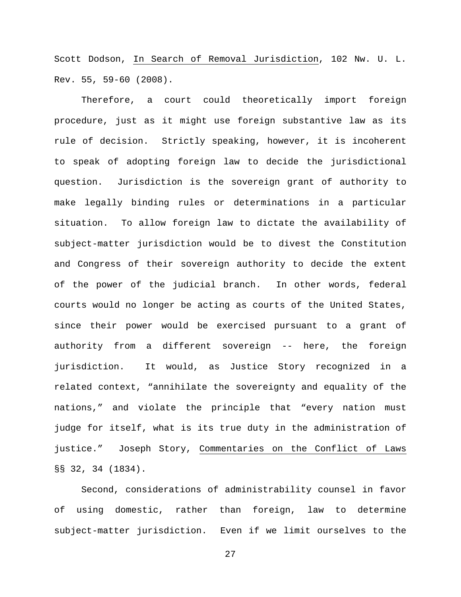Scott Dodson, In Search of Removal Jurisdiction, 102 Nw. U. L. Rev. 55, 59-60 (2008).

Therefore, a court could theoretically import foreign procedure, just as it might use foreign substantive law as its rule of decision. Strictly speaking, however, it is incoherent to speak of adopting foreign law to decide the jurisdictional question. Jurisdiction is the sovereign grant of authority to make legally binding rules or determinations in a particular situation. To allow foreign law to dictate the availability of subject-matter jurisdiction would be to divest the Constitution and Congress of their sovereign authority to decide the extent of the power of the judicial branch. In other words, federal courts would no longer be acting as courts of the United States, since their power would be exercised pursuant to a grant of authority from a different sovereign -- here, the foreign jurisdiction. It would, as Justice Story recognized in a related context, "annihilate the sovereignty and equality of the nations," and violate the principle that "every nation must judge for itself, what is its true duty in the administration of justice." Joseph Story, Commentaries on the Conflict of Laws §§ 32, 34 (1834).

Second, considerations of administrability counsel in favor of using domestic, rather than foreign, law to determine subject-matter jurisdiction. Even if we limit ourselves to the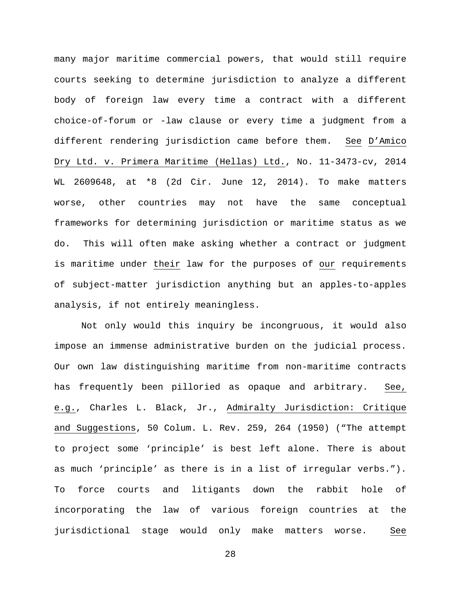many major maritime commercial powers, that would still require courts seeking to determine jurisdiction to analyze a different body of foreign law every time a contract with a different choice-of-forum or -law clause or every time a judgment from a different rendering jurisdiction came before them. See D'Amico Dry Ltd. v. Primera Maritime (Hellas) Ltd., No. 11-3473-cv, 2014 WL 2609648, at \*8 (2d Cir. June 12, 2014). To make matters worse, other countries may not have the same conceptual frameworks for determining jurisdiction or maritime status as we do. This will often make asking whether a contract or judgment is maritime under their law for the purposes of our requirements of subject-matter jurisdiction anything but an apples-to-apples analysis, if not entirely meaningless.

Not only would this inquiry be incongruous, it would also impose an immense administrative burden on the judicial process. Our own law distinguishing maritime from non-maritime contracts has frequently been pilloried as opaque and arbitrary. See, e.g., Charles L. Black, Jr., Admiralty Jurisdiction: Critique and Suggestions, 50 Colum. L. Rev. 259, 264 (1950) ("The attempt to project some 'principle' is best left alone. There is about as much 'principle' as there is in a list of irregular verbs."). To force courts and litigants down the rabbit hole of incorporating the law of various foreign countries at the jurisdictional stage would only make matters worse. See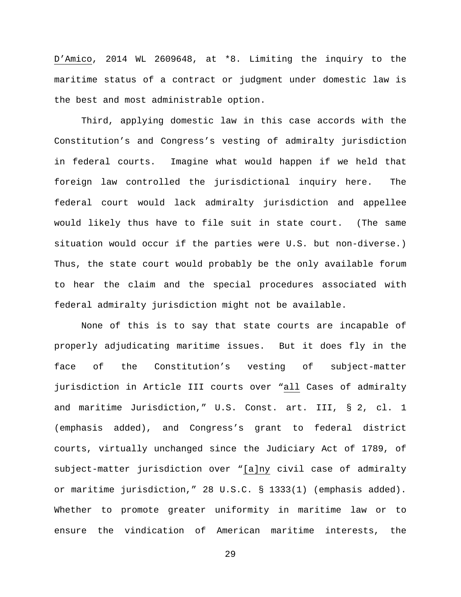D'Amico, 2014 WL 2609648, at \*8. Limiting the inquiry to the maritime status of a contract or judgment under domestic law is the best and most administrable option.

Third, applying domestic law in this case accords with the Constitution's and Congress's vesting of admiralty jurisdiction in federal courts. Imagine what would happen if we held that foreign law controlled the jurisdictional inquiry here. The federal court would lack admiralty jurisdiction and appellee would likely thus have to file suit in state court. (The same situation would occur if the parties were U.S. but non-diverse.) Thus, the state court would probably be the only available forum to hear the claim and the special procedures associated with federal admiralty jurisdiction might not be available.

None of this is to say that state courts are incapable of properly adjudicating maritime issues. But it does fly in the face of the Constitution's vesting of subject-matter jurisdiction in Article III courts over "all Cases of admiralty and maritime Jurisdiction," U.S. Const. art. III, § 2, cl. 1 (emphasis added), and Congress's grant to federal district courts, virtually unchanged since the Judiciary Act of 1789, of subject-matter jurisdiction over "[a]ny civil case of admiralty or maritime jurisdiction," 28 U.S.C. § 1333(1) (emphasis added). Whether to promote greater uniformity in maritime law or to ensure the vindication of American maritime interests, the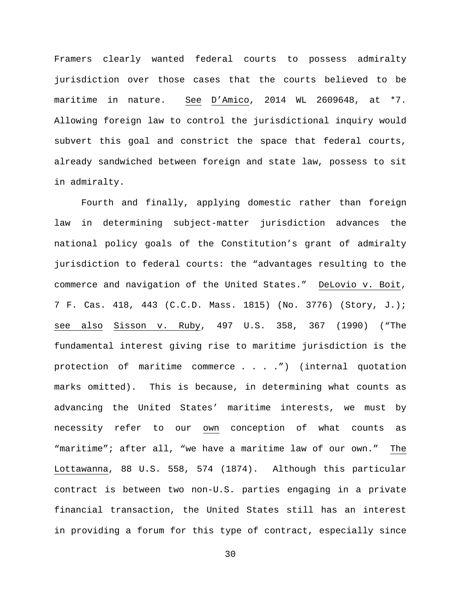Framers clearly wanted federal courts to possess admiralty jurisdiction over those cases that the courts believed to be maritime in nature. See D'Amico, 2014 WL 2609648, at \*7. Allowing foreign law to control the jurisdictional inquiry would subvert this goal and constrict the space that federal courts, already sandwiched between foreign and state law, possess to sit in admiralty.

Fourth and finally, applying domestic rather than foreign law in determining subject-matter jurisdiction advances the national policy goals of the Constitution's grant of admiralty jurisdiction to federal courts: the "advantages resulting to the commerce and navigation of the United States." DeLovio v. Boit, 7 F. Cas. 418, 443 (C.C.D. Mass. 1815) (No. 3776) (Story, J.); see also Sisson v. Ruby, 497 U.S. 358, 367 (1990) ("The fundamental interest giving rise to maritime jurisdiction is the protection of maritime commerce . . . .") (internal quotation marks omitted). This is because, in determining what counts as advancing the United States' maritime interests, we must by necessity refer to our own conception of what counts as "maritime"; after all, "we have a maritime law of our own." The Lottawanna, 88 U.S. 558, 574 (1874). Although this particular contract is between two non-U.S. parties engaging in a private financial transaction, the United States still has an interest in providing a forum for this type of contract, especially since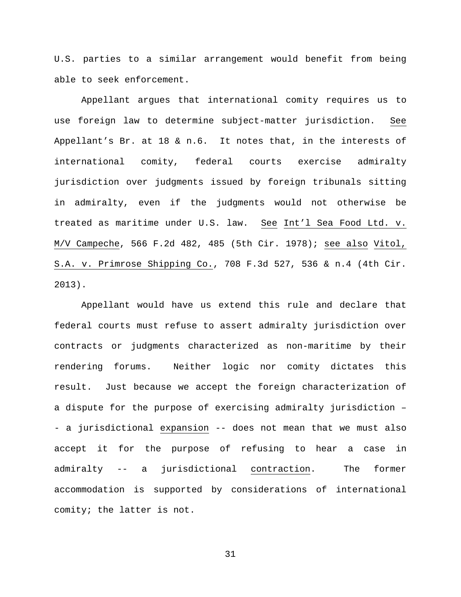U.S. parties to a similar arrangement would benefit from being able to seek enforcement.

Appellant argues that international comity requires us to use foreign law to determine subject-matter jurisdiction. See Appellant's Br. at 18 & n.6. It notes that, in the interests of international comity, federal courts exercise admiralty jurisdiction over judgments issued by foreign tribunals sitting in admiralty, even if the judgments would not otherwise be treated as maritime under U.S. law. See Int'l Sea Food Ltd. v. M/V Campeche, 566 F.2d 482, 485 (5th Cir. 1978); see also Vitol, S.A. v. Primrose Shipping Co., 708 F.3d 527, 536 & n.4 (4th Cir. 2013).

Appellant would have us extend this rule and declare that federal courts must refuse to assert admiralty jurisdiction over contracts or judgments characterized as non-maritime by their rendering forums. Neither logic nor comity dictates this result. Just because we accept the foreign characterization of a dispute for the purpose of exercising admiralty jurisdiction – - a jurisdictional expansion -- does not mean that we must also accept it for the purpose of refusing to hear a case in admiralty -- a jurisdictional contraction. The former accommodation is supported by considerations of international comity; the latter is not.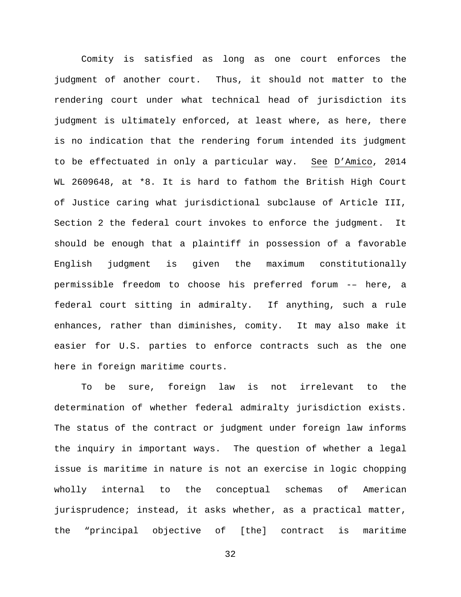Comity is satisfied as long as one court enforces the judgment of another court. Thus, it should not matter to the rendering court under what technical head of jurisdiction its judgment is ultimately enforced, at least where, as here, there is no indication that the rendering forum intended its judgment to be effectuated in only a particular way. See D'Amico, 2014 WL 2609648, at \*8. It is hard to fathom the British High Court of Justice caring what jurisdictional subclause of Article III, Section 2 the federal court invokes to enforce the judgment. It should be enough that a plaintiff in possession of a favorable English judgment is given the maximum constitutionally permissible freedom to choose his preferred forum -– here, a federal court sitting in admiralty. If anything, such a rule enhances, rather than diminishes, comity. It may also make it easier for U.S. parties to enforce contracts such as the one here in foreign maritime courts.

To be sure, foreign law is not irrelevant to the determination of whether federal admiralty jurisdiction exists. The status of the contract or judgment under foreign law informs the inquiry in important ways. The question of whether a legal issue is maritime in nature is not an exercise in logic chopping wholly internal to the conceptual schemas of American jurisprudence; instead, it asks whether, as a practical matter, the "principal objective of [the] contract is maritime